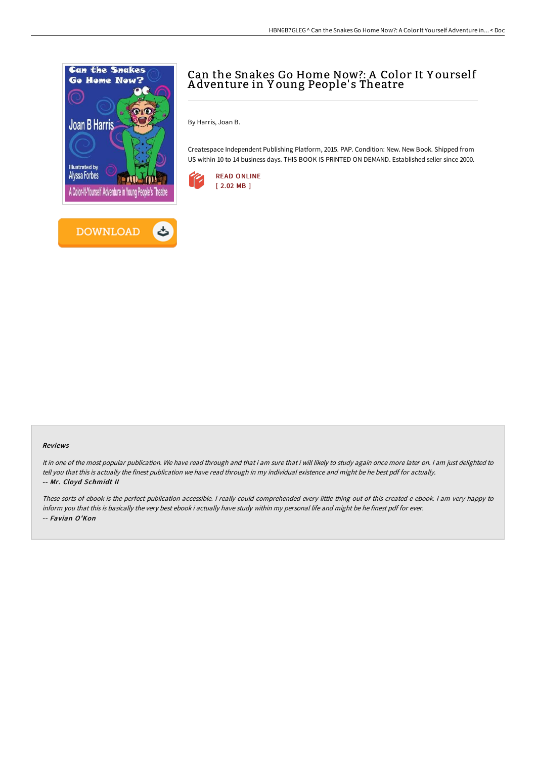



# Can the Snakes Go Home Now?: A Color It Y ourself A dventure in Y oung People' s Theatre

By Harris, Joan B.

Createspace Independent Publishing Platform, 2015. PAP. Condition: New. New Book. Shipped from US within 10 to 14 business days. THIS BOOK IS PRINTED ON DEMAND. Established seller since 2000.



#### Reviews

It in one of the most popular publication. We have read through and that i am sure that i will likely to study again once more later on. <sup>I</sup> am just delighted to tell you that this is actually the finest publication we have read through in my individual existence and might be he best pdf for actually. -- Mr. Cloyd Schmidt II

These sorts of ebook is the perfect publication accessible. <sup>I</sup> really could comprehended every little thing out of this created <sup>e</sup> ebook. <sup>I</sup> am very happy to inform you that this is basically the very best ebook i actually have study within my personal life and might be he finest pdf for ever. -- Favian O'Kon